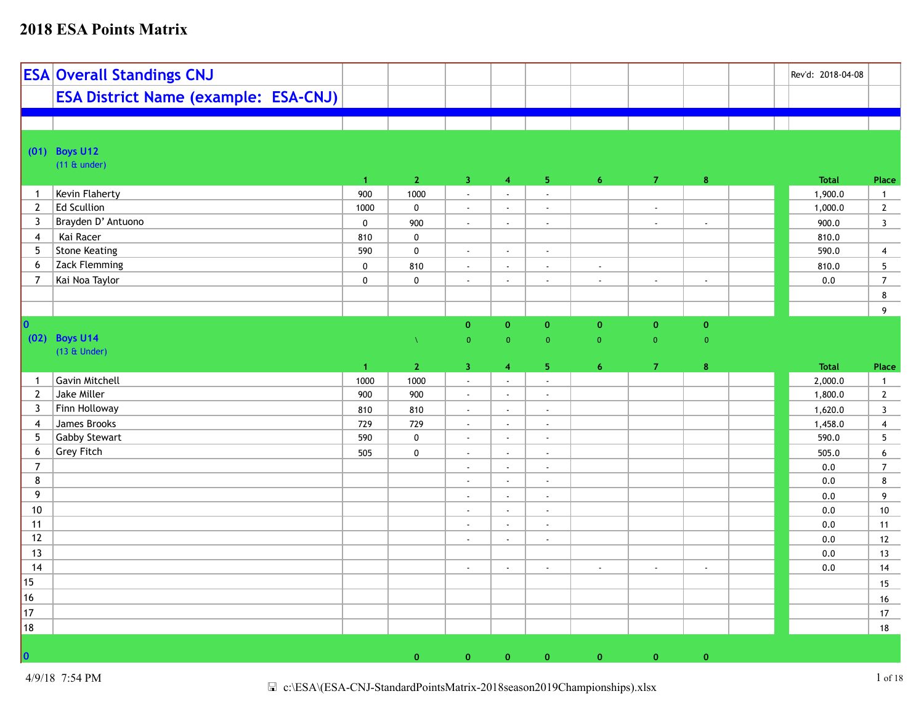|                 | <b>ESA Overall Standings CNJ</b>            |                      |              |                             |                             |                             |                             |                |                    | Rev'd: 2018-04-08 |                         |
|-----------------|---------------------------------------------|----------------------|--------------|-----------------------------|-----------------------------|-----------------------------|-----------------------------|----------------|--------------------|-------------------|-------------------------|
|                 | <b>ESA District Name (example: ESA-CNJ)</b> |                      |              |                             |                             |                             |                             |                |                    |                   |                         |
|                 |                                             |                      |              |                             |                             |                             |                             |                |                    |                   |                         |
|                 | (01) Boys U12                               |                      |              |                             |                             |                             |                             |                |                    |                   |                         |
|                 | $(11 \& under)$                             |                      |              |                             |                             |                             |                             |                |                    |                   |                         |
|                 |                                             | $\mathbf{1}$         | $\mathbf{2}$ | $\overline{3}$              | $\overline{4}$              | 5 <sub>1</sub>              | 6 <sup>1</sup>              | $\overline{7}$ | 8                  | <b>Total</b>      | Place                   |
| $\mathbf{1}$    | Kevin Flaherty                              | 900                  | 1000         | $\mathcal{L}^{\pm}$         | $\mathbb{R}^2$              | $\mathbb{Z}^2$              |                             |                |                    | 1,900.0           | $\overline{1}$          |
| $\mathbf{2}$    | Ed Scullion                                 | 1000                 | $\pmb{0}$    | $\sim$                      | $\sim$                      | $\mathcal{L}_{\mathcal{A}}$ |                             | $\blacksquare$ |                    | 1,000.0           | $\overline{2}$          |
| $\mathbf{3}$    | Brayden D' Antuono                          | $\pmb{0}$            | 900          | $\mathcal{L}^{\mathcal{L}}$ | $\mathbb{Z}^{\mathbb{Z}}$   | $\sim$                      |                             | $\sim$         | $\sim$             | 900.0             | $\overline{\mathbf{3}}$ |
| $\overline{4}$  | Kai Racer                                   | 810                  | $\mathbf 0$  |                             |                             |                             |                             |                |                    | 810.0             |                         |
| 5 <sub>5</sub>  | Stone Keating                               | 590                  | $\pmb{0}$    | $\sim$                      | $\mathcal{L}_{\mathcal{A}}$ | $\sim$                      |                             |                |                    | 590.0             | $\overline{4}$          |
| 6               | Zack Flemming                               | $\pmb{0}$            | 810          | $\sim$                      | $\mathbb{Z}^{\mathbb{Z}}$   | $\mathbb{Z}^2$              | $\mathcal{L}^{\mathcal{L}}$ |                |                    | 810.0             | $5\phantom{.0}$         |
| $\overline{7}$  | Kai Noa Taylor                              | $\pmb{0}$            | $\mathbf 0$  | $\sim$                      | $\mathbb{Z}^{\mathbb{Z}}$   | $\mathbb{Z}^2$              | $\mathbb{Z}^{\mathbb{Z}}$   | $\sim$         | $\mathbb{L}^2$     | 0.0               | $\overline{7}$          |
|                 |                                             |                      |              |                             |                             |                             |                             |                |                    |                   | $8\phantom{1}$          |
|                 |                                             |                      |              |                             |                             |                             |                             |                |                    |                   | 9                       |
| 10              |                                             |                      |              | $\mathbf{0}$                | $\mathbf{0}$                | $\pmb{0}$                   | $\pmb{0}$                   | $\mathbf{0}$   | $\pmb{\mathsf{o}}$ |                   |                         |
|                 | (02) Boys U14                               |                      | $\Lambda$    | $\overline{0}$              | $\overline{0}$              | $\mathbf{0}$                | $\overline{0}$              | $\overline{0}$ | $\overline{0}$     |                   |                         |
|                 | $(13 \&$ Under)                             |                      |              |                             |                             |                             |                             |                |                    |                   |                         |
|                 |                                             | $\blacktriangleleft$ | $\mathbf{2}$ | $\overline{3}$              | $\overline{4}$              | 5 <sub>1</sub>              | $\boldsymbol{6}$            | $\overline{7}$ | $\bf{8}$           | <b>Total</b>      | Place                   |
|                 |                                             |                      |              |                             |                             |                             |                             |                |                    |                   |                         |
| $\mathbf{1}$    | Gavin Mitchell                              | 1000                 | 1000         | $\mathbb{Z}^2$              | $\mathbb{Z}^{\mathbb{Z}}$   | $\mathcal{L}$               |                             |                |                    | 2,000.0           | $\mathbf{1}$            |
| $\mathbf{2}$    | Jake Miller                                 | 900                  | 900          | $\sim$                      | $\mathbb{Z}^{\mathbb{Z}}$   | $\sim$                      |                             |                |                    | 1,800.0           | $\overline{2}$          |
| $\mathbf{3}$    | Finn Holloway                               | 810                  | 810          | $\sim$                      | $\mathbb{Z}^{\times}$       | $\sim$                      |                             |                |                    | 1,620.0           | $\overline{\mathbf{3}}$ |
| $\overline{4}$  | James Brooks                                | 729                  | 729          | $\mathbb{Z}^2$              | $\blacksquare$              | $\sim$                      |                             |                |                    | 1,458.0           | $\overline{\mathbf{4}}$ |
| $5\phantom{.0}$ | Gabby Stewart                               | 590                  | $\pmb{0}$    | $\sim$                      | $\sim$                      | $\sim$                      |                             |                |                    | 590.0             | $5\phantom{.0}$         |
| 6               | <b>Grey Fitch</b>                           | 505                  | $\mathbf 0$  | $\sim$                      | $\mathbf{r}$                | $\sim$                      |                             |                |                    | 505.0             | $6\phantom{a}$          |
| $\overline{7}$  |                                             |                      |              | $\sim$                      | $\mathbb{Z}^{\times}$       | $\sim$                      |                             |                |                    | 0.0               | $\overline{7}$          |
| 8               |                                             |                      |              | $\mathbb{Z}^2$              | $\mathbb{Z}^{\mathbb{Z}}$   | $\mathbb{Z}^2$              |                             |                |                    | 0.0               | 8                       |
| 9               |                                             |                      |              | $\sim$                      | $\mathbf{r}$                | $\sim$                      |                             |                |                    | 0.0               | 9                       |
| 10              |                                             |                      |              | $\sim$                      | $\mathbb{Z}^{\mathbb{Z}}$   | $\mathbb{Z}^2$              |                             |                |                    | 0.0               | 10                      |
| 11              |                                             |                      |              | $\sim$                      | $\mathbb{Z}^{\mathbb{Z}}$   | $\sim$                      |                             |                |                    | 0.0               | 11                      |
| 12              |                                             |                      |              | $\mathbb{Z}^2$              | $\mathbb{Z}^2$              | $\sim$                      |                             |                |                    | $0.0\,$           | 12                      |
| 13              |                                             |                      |              |                             |                             |                             |                             |                |                    | 0.0               | 13                      |
| 14              |                                             |                      |              | $\sim$                      | $\mathbb{Z}^{\times}$       | $\mathbf{r}$                | $\mathbf{r}$                | $\sim$         | $\sim$             | 0.0               | 14                      |
| 15              |                                             |                      |              |                             |                             |                             |                             |                |                    |                   | 15                      |
| 16              |                                             |                      |              |                             |                             |                             |                             |                |                    |                   | 16                      |
| 17              |                                             |                      |              |                             |                             |                             |                             |                |                    |                   | 17                      |
| 18              |                                             |                      |              |                             |                             |                             |                             |                |                    |                   | 18                      |
|                 |                                             |                      |              |                             |                             |                             |                             |                |                    |                   |                         |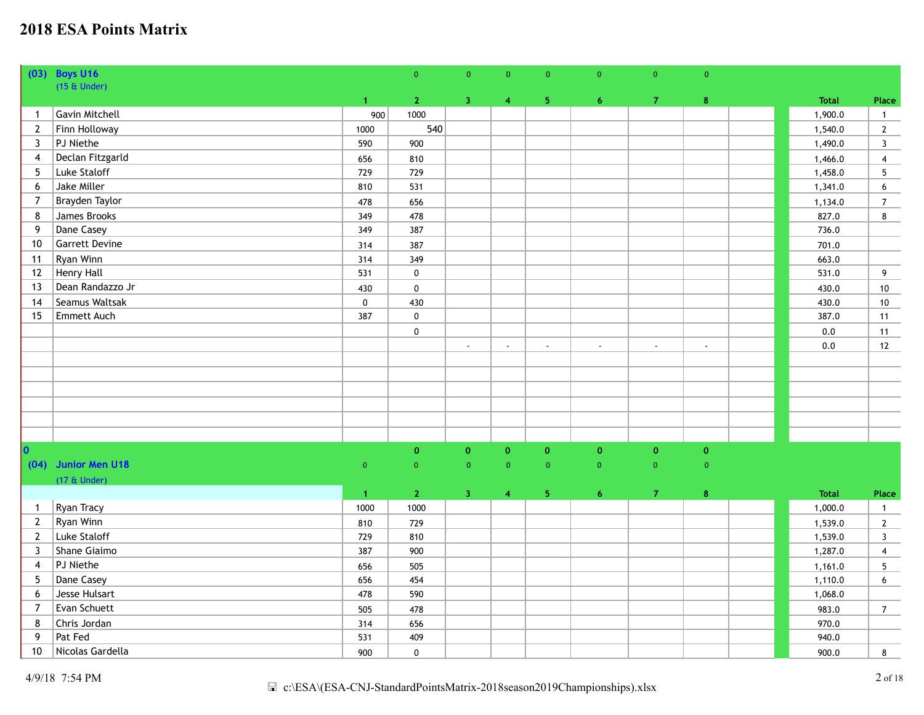|                         | (03) Boys U16         |                | $\pmb{0}$          | $\overline{0}$          | $\overline{0}$          | $\overline{0}$ | $\overline{0}$ | $\overline{0}$ | $\mathbf 0$    |              |                         |
|-------------------------|-----------------------|----------------|--------------------|-------------------------|-------------------------|----------------|----------------|----------------|----------------|--------------|-------------------------|
|                         | $(15 \&$ Under)       |                |                    |                         |                         |                |                |                |                |              |                         |
|                         |                       | 1 <sub>1</sub> | $\mathbf{2}$       | $\overline{3}$          | $\overline{\mathbf{4}}$ | 5 <sub>1</sub> | $\overline{6}$ | $\mathbf{7}$   | $\bf8$         | <b>Total</b> | Place                   |
| $\mathbf{1}$            | Gavin Mitchell        | 900            | 1000               |                         |                         |                |                |                |                | 1,900.0      | $\mathbf{1}$            |
| $\mathbf{2}$            | Finn Holloway         | 1000           | 540                |                         |                         |                |                |                |                | 1,540.0      | $\mathbf{2}$            |
| $\overline{3}$          | PJ Niethe             | 590            | 900                |                         |                         |                |                |                |                | 1,490.0      | $\overline{3}$          |
| $\overline{4}$          | Declan Fitzgarld      | 656            | 810                |                         |                         |                |                |                |                | 1,466.0      | $\overline{4}$          |
| -5                      | Luke Staloff          | 729            | 729                |                         |                         |                |                |                |                | 1,458.0      | $\overline{5}$          |
| 6                       | Jake Miller           | 810            | 531                |                         |                         |                |                |                |                | 1,341.0      | $\boldsymbol{6}$        |
| $\overline{7}$          | Brayden Taylor        | 478            | 656                |                         |                         |                |                |                |                | 1,134.0      | $\overline{7}$          |
| 8                       | James Brooks          | 349            | 478                |                         |                         |                |                |                |                | 827.0        | 8                       |
| 9                       | Dane Casey            | 349            | 387                |                         |                         |                |                |                |                | 736.0        |                         |
| 10                      | <b>Garrett Devine</b> | 314            | 387                |                         |                         |                |                |                |                | 701.0        |                         |
| 11                      | Ryan Winn             | 314            | 349                |                         |                         |                |                |                |                | 663.0        |                         |
| 12                      | Henry Hall            | 531            | $\pmb{0}$          |                         |                         |                |                |                |                | 531.0        | $\overline{9}$          |
| 13                      | Dean Randazzo Jr      | 430            | $\pmb{0}$          |                         |                         |                |                |                |                | 430.0        | $10$                    |
| 14                      | Seamus Waltsak        | $\pmb{0}$      | 430                |                         |                         |                |                |                |                | 430.0        | 10                      |
| 15                      | Emmett Auch           | 387            | $\pmb{0}$          |                         |                         |                |                |                |                | 387.0        | 11                      |
|                         |                       |                | $\pmb{0}$          |                         |                         |                |                |                |                | $0.0\,$      | 11                      |
|                         |                       |                |                    | $\sim$                  | $\sim$                  | $\mathbf{r}$   | $\blacksquare$ | ÷,             | $\mathbf{r}$   | 0.0          | 12                      |
|                         |                       |                |                    |                         |                         |                |                |                |                |              |                         |
|                         |                       |                |                    |                         |                         |                |                |                |                |              |                         |
|                         |                       |                |                    |                         |                         |                |                |                |                |              |                         |
|                         |                       |                |                    |                         |                         |                |                |                |                |              |                         |
|                         |                       |                |                    |                         |                         |                |                |                |                |              |                         |
|                         |                       |                |                    |                         |                         |                |                |                |                |              |                         |
| $\overline{\mathbf{0}}$ |                       |                | $\pmb{\mathsf{o}}$ | $\mathbf 0$             | $\mathbf{0}$            | $\mathbf 0$    | $\pmb{0}$      | $\mathbf 0$    | $\mathbf 0$    |              |                         |
|                         | (04) Junior Men U18   | $\overline{0}$ | $\overline{0}$     | $\overline{0}$          | $\overline{0}$          | $\overline{0}$ | $\overline{0}$ | $\overline{0}$ | $\overline{0}$ |              |                         |
|                         | $(17 \&$ Under)       |                |                    |                         |                         |                |                |                |                |              |                         |
|                         |                       | $\mathbf{1}$   | $\mathbf{2}$       | $\overline{\mathbf{3}}$ | $\overline{4}$          | 5 <sub>1</sub> | 6 <sup>1</sup> | $\mathbf{7}$   | $\bf8$         | <b>Total</b> | Place                   |
| $\mathbf{1}$            | Ryan Tracy            | 1000           | 1000               |                         |                         |                |                |                |                | 1,000.0      | $\overline{1}$          |
| $\overline{2}$          | Ryan Winn             | 810            | 729                |                         |                         |                |                |                |                | 1,539.0      | $\mathbf{2}$            |
| $\overline{2}$          | Luke Staloff          | 729            | 810                |                         |                         |                |                |                |                | 1,539.0      | $\overline{\mathbf{3}}$ |
| $\overline{3}$          | Shane Giaimo          | 387            | 900                |                         |                         |                |                |                |                | 1,287.0      | $\overline{4}$          |
| $\overline{4}$          | PJ Niethe             | 656            | 505                |                         |                         |                |                |                |                | 1,161.0      | 5                       |
| 5                       | Dane Casey            | 656            | 454                |                         |                         |                |                |                |                | 1,110.0      | 6                       |
| 6                       | Jesse Hulsart         | 478            | 590                |                         |                         |                |                |                |                | 1,068.0      |                         |
| $\overline{7}$          | Evan Schuett          |                |                    |                         |                         |                |                |                |                |              |                         |
|                         |                       | 505            | 478                |                         |                         |                |                |                |                | 983.0        | $7\overline{ }$         |
| 8                       | Chris Jordan          | 314            | 656                |                         |                         |                |                |                |                | 970.0        |                         |
| 9                       | Pat Fed               | 531            | 409                |                         |                         |                |                |                |                | 940.0        |                         |
| $10\,$                  | Nicolas Gardella      | 900            | $\pmb{0}$          |                         |                         |                |                |                |                | 900.0        | 8                       |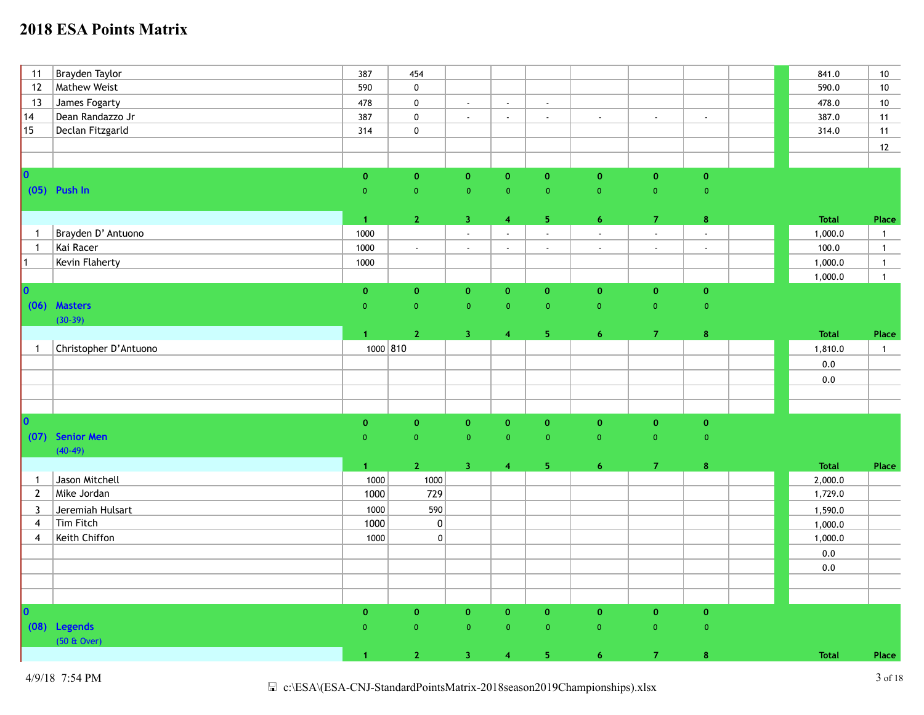| 11                                                  | Brayden Taylor        | 387                  | 454                         |                         |                         |                             |                           |                |                           | 841.0              | $10\,$         |
|-----------------------------------------------------|-----------------------|----------------------|-----------------------------|-------------------------|-------------------------|-----------------------------|---------------------------|----------------|---------------------------|--------------------|----------------|
| 12                                                  | <b>Mathew Weist</b>   | 590                  | $\pmb{0}$                   |                         |                         |                             |                           |                |                           | 590.0              | 10             |
| 13                                                  | James Fogarty         | 478                  | $\pmb{0}$                   | $\omega$                | $\mathbf{r}$            | $\omega$                    |                           |                |                           | 478.0              | 10             |
| 14                                                  | Dean Randazzo Jr      | 387                  | $\pmb{0}$                   | $\sim$                  | $\mathcal{L}$           | $\mathcal{L}^{\mathcal{L}}$ | $\mathcal{L}$             | $\mathcal{L}$  | $\mathbb{Z}^+$            | 387.0              | 11             |
| $ 15\rangle$                                        | Declan Fitzgarld      | 314                  | $\pmb{0}$                   |                         |                         |                             |                           |                |                           | 314.0              | 11             |
|                                                     |                       |                      |                             |                         |                         |                             |                           |                |                           |                    | 12             |
|                                                     |                       |                      |                             |                         |                         |                             |                           |                |                           |                    |                |
| $\vert$ o $\vert$                                   |                       | $\pmb{0}$            | $\pmb{0}$                   | $\pmb{0}$               | $\mathbf 0$             | $\mathbf 0$                 | $\mathbf 0$               | $\mathbf 0$    | $\mathbf 0$               |                    |                |
|                                                     | $(05)$ Push In        | $\mathbf 0$          | $\mathbf 0$                 | $\overline{0}$          | $\overline{0}$          | $\pmb{0}$                   | $\overline{0}$            | $\mathbf{0}$   | $\overline{0}$            |                    |                |
|                                                     |                       |                      |                             |                         |                         |                             |                           |                |                           |                    |                |
|                                                     |                       | $\overline{1}$       | $\mathbf{2}$                | 3 <sub>1</sub>          | $\overline{4}$          | $\sqrt{5}$                  | $\overline{6}$            | $\mathbf{7}$   | $\bf 8$                   | <b>Total</b>       | Place          |
| $\mathbf{1}$                                        | Brayden D' Antuono    | 1000                 |                             | $\omega$                | $\mathbf{r}$            | $\omega$                    | $\mathbb{Z}^{\mathbb{Z}}$ | ÷,             | $\mathbb{Z}^{\mathbb{Z}}$ | 1,000.0            | $\mathbf{1}$   |
| $\overline{1}$                                      | Kai Racer             | 1000                 | $\mathcal{L}_{\mathcal{A}}$ | $\mathbb{Z}^+$          | $\mathbb{Z}^2$          | $\sim$                      | $\blacksquare$            | $\blacksquare$ | $\sim$                    | 100.0              | $\overline{1}$ |
| $\mathsf{L}% _{\mathbb{Z}}\left( \mathbb{Z}\right)$ | Kevin Flaherty        | 1000                 |                             |                         |                         |                             |                           |                |                           | 1,000.0            | $\overline{1}$ |
|                                                     |                       |                      |                             |                         |                         |                             |                           |                |                           | 1,000.0            | $\overline{1}$ |
| $ 0\rangle$                                         |                       | $\mathbf 0$          | $\mathbf{o}$                | $\mathbf{0}$            | $\mathbf{o}$            | $\mathbf{0}$                | $\mathbf{o}$              | $\mathbf{o}$   | $\mathbf 0$               |                    |                |
|                                                     | (06) Masters          | $\overline{0}$       | $\pmb{0}$                   | $\pmb{0}$               | $\mathbf 0$             | $\overline{0}$              | $\pmb{0}$                 | $\mathbf{0}^-$ | $\mathbf 0$               |                    |                |
|                                                     | $(30-39)$             |                      |                             |                         |                         |                             |                           |                |                           |                    |                |
|                                                     |                       | $\mathbf{1}$         | $\mathbf{2}$                | $\overline{\mathbf{3}}$ | $\overline{4}$          | $\sqrt{5}$                  | $\overline{6}$            | $\mathbf{7}$   | $\bf 8$                   | <b>Total</b>       | Place          |
| $\mathbf{1}$                                        | Christopher D'Antuono | 1000 810             |                             |                         |                         |                             |                           |                |                           | 1,810.0            | $\mathbf{1}$   |
|                                                     |                       |                      |                             |                         |                         |                             |                           |                |                           | $0.0\,$            |                |
|                                                     |                       |                      |                             |                         |                         |                             |                           |                |                           | $0.0\,$            |                |
|                                                     |                       |                      |                             |                         |                         |                             |                           |                |                           |                    |                |
|                                                     |                       |                      |                             |                         |                         |                             |                           |                |                           |                    |                |
| $ 0\rangle$                                         |                       | $\pmb{0}$            | $\pmb{0}$                   | $\pmb{0}$               | $\mathbf 0$             | $\mathbf 0$                 | $\pmb{0}$                 | $\pmb{0}$      | $\mathbf 0$               |                    |                |
| (07)                                                | <b>Senior Men</b>     | $\overline{0}$       | $\pmb{0}$                   | $\mathbf 0$             | $\overline{0}$          | $\overline{0}$              | $\pmb{0}$                 | $\pmb{0}$      | $\mathbf 0$               |                    |                |
|                                                     | $(40-49)$             |                      |                             |                         |                         |                             |                           |                |                           |                    |                |
|                                                     |                       | $\blacktriangleleft$ | $\mathbf{2}$                | $\overline{3}$          | $\overline{4}$          | ${\bf 5}$                   | $\overline{6}$            | $\overline{7}$ | $\bf8$                    | <b>Total</b>       | Place          |
| $\mathbf{1}$                                        | Jason Mitchell        | 1000                 | 1000                        |                         |                         |                             |                           |                |                           | 2,000.0            |                |
| $\overline{2}$                                      | Mike Jordan           | 1000                 | 729                         |                         |                         |                             |                           |                |                           | 1,729.0            |                |
| 3                                                   | Jeremiah Hulsart      | 1000                 | 590                         |                         |                         |                             |                           |                |                           | 1,590.0            |                |
| $\overline{4}$                                      | Tim Fitch             | 1000                 | $\boldsymbol{0}$            |                         |                         |                             |                           |                |                           |                    |                |
| $\overline{4}$                                      | Keith Chiffon         | 1000                 | $\pmb{0}$                   |                         |                         |                             |                           |                |                           | 1,000.0<br>1,000.0 |                |
|                                                     |                       |                      |                             |                         |                         |                             |                           |                |                           |                    |                |
|                                                     |                       |                      |                             |                         |                         |                             |                           |                |                           | $0.0\,$            |                |
|                                                     |                       |                      |                             |                         |                         |                             |                           |                |                           | $0.0\,$            |                |
|                                                     |                       |                      |                             |                         |                         |                             |                           |                |                           |                    |                |
|                                                     |                       |                      |                             |                         |                         |                             |                           |                |                           |                    |                |
| $ 0\rangle$                                         |                       | $\mathbf 0$          | $\mathbf{o}$                | $\pmb{0}$               | $\mathbf{0}$            | $\mathbf{0}$                | $\mathbf 0$               | $\mathbf 0$    | $\mathbf 0$               |                    |                |
|                                                     | (08) Legends          | $\mathbf{0}$         | $\mathbf{0}$                | $\pmb{0}$               | $\overline{0}$          | $\overline{0}$              | $\mathbf 0$               | $\overline{0}$ | $\overline{0}$            |                    |                |
|                                                     | (50 & Over)           |                      |                             |                         |                         |                             |                           |                |                           |                    |                |
|                                                     |                       | $\blacktriangleleft$ | $\mathbf{2}$                | $\overline{\mathbf{3}}$ | $\overline{\mathbf{4}}$ | ${\bf 5}$                   | $\overline{6}$            | $\mathbf{7}$   | $\bf 8$                   | <b>Total</b>       | Place          |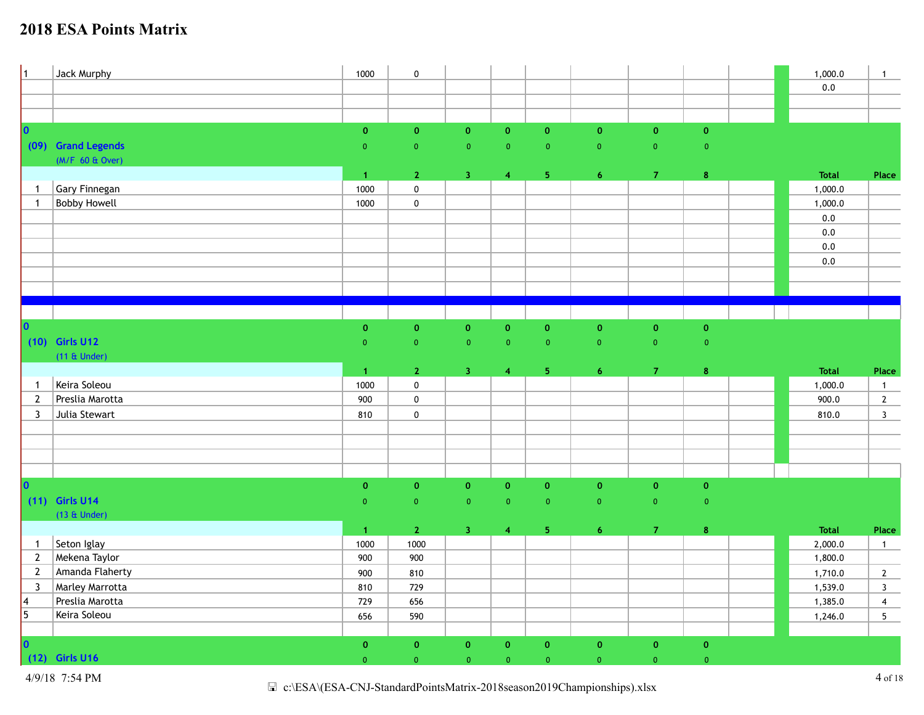| $\vert$ 1                                               | Jack Murphy         | 1000                 | $\pmb{0}$      |                         |                |                |                    |                         |                     | 1,000.0 | $\mathbf{1}$            |
|---------------------------------------------------------|---------------------|----------------------|----------------|-------------------------|----------------|----------------|--------------------|-------------------------|---------------------|---------|-------------------------|
|                                                         |                     |                      |                |                         |                |                |                    |                         |                     | $0.0\,$ |                         |
|                                                         |                     |                      |                |                         |                |                |                    |                         |                     |         |                         |
|                                                         |                     |                      |                |                         |                |                |                    |                         |                     |         |                         |
| $\vert$ 0                                               |                     | $\mathbf{0}$         | $\mathbf{o}$   | $\mathbf{0}$            | $\mathbf{o}$   | $\mathbf{O}$   | $\mathbf{0}$       | $\mathbf 0$             | $\mathbf{O}^{\top}$ |         |                         |
|                                                         | (09) Grand Legends  | $\overline{0}$       | $\mathbf{0}$   | $\overline{0}$          | $\pmb{0}$      | $\overline{0}$ | $\overline{0}$     | $\overline{\mathbf{0}}$ | $\pmb{0}$           |         |                         |
|                                                         | (M/F 60 & Over)     |                      |                |                         |                |                |                    |                         |                     |         |                         |
|                                                         |                     | $\mathbf{1}$         | $\mathbf{2}$   | $\overline{\mathbf{3}}$ | $\overline{4}$ | 5 <sub>1</sub> | 6 <sup>1</sup>     | $\mathbf{7}$            | $\pmb{8}$           | Total   | Place                   |
| $\mathbf{1}$                                            | Gary Finnegan       | 1000                 | $\pmb{0}$      |                         |                |                |                    |                         |                     | 1,000.0 |                         |
| $\mathbf{1}$                                            | <b>Bobby Howell</b> | 1000                 | $\pmb{0}$      |                         |                |                |                    |                         |                     | 1,000.0 |                         |
|                                                         |                     |                      |                |                         |                |                |                    |                         |                     | 0.0     |                         |
|                                                         |                     |                      |                |                         |                |                |                    |                         |                     | $0.0\,$ |                         |
|                                                         |                     |                      |                |                         |                |                |                    |                         |                     | 0.0     |                         |
|                                                         |                     |                      |                |                         |                |                |                    |                         |                     | $0.0\,$ |                         |
|                                                         |                     |                      |                |                         |                |                |                    |                         |                     |         |                         |
|                                                         |                     |                      |                |                         |                |                |                    |                         |                     |         |                         |
|                                                         |                     |                      |                |                         |                |                |                    |                         |                     |         |                         |
|                                                         |                     |                      |                |                         |                |                |                    |                         |                     |         |                         |
| 0                                                       |                     | $\mathbf 0$          | $\mathbf 0$    | $\mathbf 0$             | $\mathbf 0$    | $\pmb{0}$      | $\pmb{\mathsf{o}}$ | $\pmb{\mathsf{o}}$      | $\pmb{0}$           |         |                         |
|                                                         | (10) Girls U12      | $\overline{0}$       | $\pmb{0}$      | $\mathbf 0$             | $\mathbf{0}$   | $\overline{0}$ | $\mathbf 0$        | $\pmb{0}$               | $\overline{0}$      |         |                         |
|                                                         | $(11 \& Under)$     |                      |                |                         |                |                |                    |                         |                     |         |                         |
|                                                         |                     |                      |                |                         |                |                |                    |                         |                     |         |                         |
|                                                         |                     | $\blacktriangleleft$ | $\mathbf{2}$   | $\overline{\mathbf{3}}$ | $\overline{4}$ | 5 <sub>1</sub> | $\overline{6}$     | $\mathbf{7}$            | $\bf8$              | Total   | Place                   |
| $\mathbf{1}$                                            | Keira Soleou        | 1000                 | $\pmb{0}$      |                         |                |                |                    |                         |                     | 1,000.0 | $\overline{1}$          |
| $\overline{2}$                                          | Preslia Marotta     | 900                  | $\pmb{0}$      |                         |                |                |                    |                         |                     | 900.0   | $\overline{2}$          |
| 3                                                       | Julia Stewart       | 810                  | $\mathbf 0$    |                         |                |                |                    |                         |                     | 810.0   | $\overline{\mathbf{3}}$ |
|                                                         |                     |                      |                |                         |                |                |                    |                         |                     |         |                         |
|                                                         |                     |                      |                |                         |                |                |                    |                         |                     |         |                         |
|                                                         |                     |                      |                |                         |                |                |                    |                         |                     |         |                         |
|                                                         |                     |                      |                |                         |                |                |                    |                         |                     |         |                         |
| $ 0\rangle$                                             |                     | $\pmb{0}$            | $\mathbf{0}$   | $\mathbf{0}$            | $\mathbf{O}$   | $\mathbf{O}$   | $\mathbf 0$        | $\mathbf 0$             | $\mathbf{0}$        |         |                         |
|                                                         | $(11)$ Girls U14    | $\overline{0}$       | $\pmb{0}$      | $\pmb{0}$               | $\overline{0}$ | $\overline{0}$ | $\mathbf 0$        | $\pmb{0}$               | $\overline{0}$      |         |                         |
|                                                         | $(13 \&$ Under)     |                      |                |                         |                |                |                    |                         |                     |         |                         |
|                                                         |                     | $\blacktriangleleft$ | $\overline{2}$ | 3 <sup>7</sup>          | $\overline{4}$ | 5 <sub>1</sub> | 6                  | $\mathbf{7}$            | $\bf{8}$            | Total   | Place                   |
| $\mathbf{1}$                                            | Seton Iglay         | 1000                 | 1000           |                         |                |                |                    |                         |                     | 2,000.0 | $\overline{1}$          |
| $\overline{2}$                                          | Mekena Taylor       | 900                  | 900            |                         |                |                |                    |                         |                     | 1,800.0 |                         |
| $\overline{2}$                                          | Amanda Flaherty     | 900                  | 810            |                         |                |                |                    |                         |                     | 1,710.0 | $\overline{2}$          |
| $\overline{3}$                                          | Marley Marrotta     | 810                  | 729            |                         |                |                |                    |                         |                     | 1,539.0 | $\mathbf{3}$            |
|                                                         | Preslia Marotta     | 729                  | 656            |                         |                |                |                    |                         |                     | 1,385.0 | $\overline{\mathbf{4}}$ |
| $\begin{array}{ c c }\n 4 \\  \hline\n 5\n \end{array}$ | Keira Soleou        | 656                  | 590            |                         |                |                |                    |                         |                     | 1,246.0 | $5\phantom{.0}$         |
|                                                         |                     |                      |                |                         |                |                |                    |                         |                     |         |                         |
|                                                         | 0<br>(12) Girls U16 | $\mathbf{0}$         | $\mathbf{0}$   | $\mathbf 0$             | $\mathbf{O}$   | $\mathbf{O}$   | $\mathbf 0$        | $\pmb{0}$               | $\pmb{0}$           |         |                         |

4/9/18 7:54 PM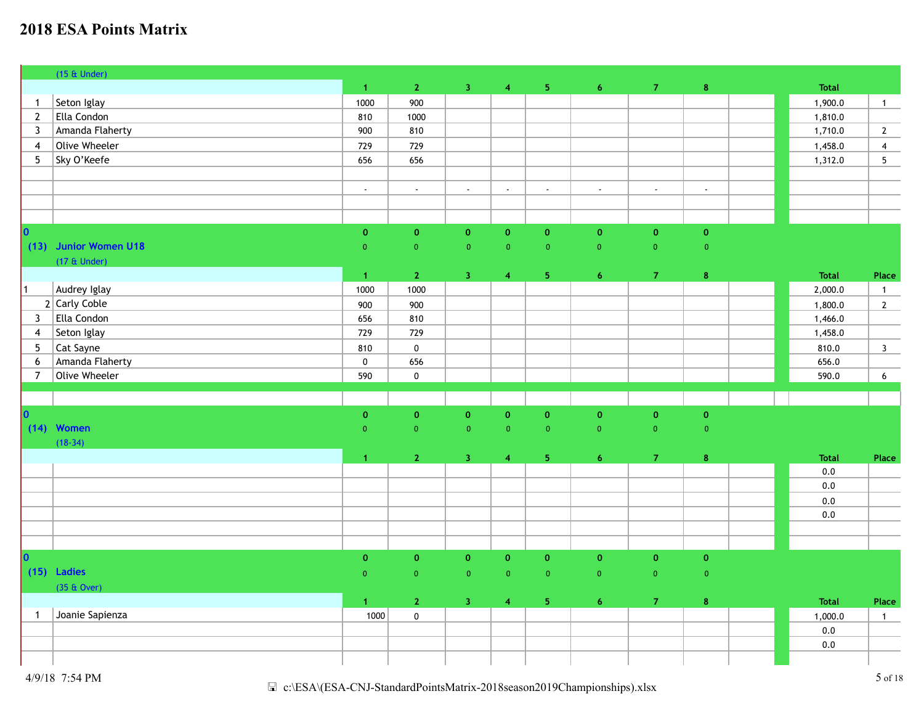|                | $(15 \&$ Under)                                |                             |                             |                             |                |                |                         |                |             |                |                 |
|----------------|------------------------------------------------|-----------------------------|-----------------------------|-----------------------------|----------------|----------------|-------------------------|----------------|-------------|----------------|-----------------|
|                |                                                | $\vert 1 \vert$             | $\mathbf{2}$                | 3 <sup>°</sup>              | $\overline{4}$ | 5 <sub>1</sub> | $\overline{6}$          | $\mathbf{7}$   | $\bf 8$     | <b>Total</b>   |                 |
| $\mathbf{1}$   | Seton Iglay                                    | 1000                        | 900                         |                             |                |                |                         |                |             | 1,900.0        | $\overline{1}$  |
| $\overline{2}$ | Ella Condon                                    | 810                         | 1000                        |                             |                |                |                         |                |             | 1,810.0        |                 |
| 3              | Amanda Flaherty                                | 900                         | 810                         |                             |                |                |                         |                |             | 1,710.0        | $\mathbf{2}$    |
| 4              | Olive Wheeler                                  | 729                         | 729                         |                             |                |                |                         |                |             | 1,458.0        | $\overline{4}$  |
| 5 <sup>5</sup> | Sky O'Keefe                                    | 656                         | 656                         |                             |                |                |                         |                |             | 1,312.0        | $5\phantom{.0}$ |
|                |                                                |                             |                             |                             |                |                |                         |                |             |                |                 |
|                |                                                | $\mathcal{L}^{\mathcal{L}}$ | $\mathcal{L}^{\mathcal{L}}$ | $\mathcal{L}^{\mathcal{L}}$ | $\mathbf{r}$   | $\mathbb{Z}^2$ | $\omega$                | $\omega$       | $\omega$    |                |                 |
|                |                                                |                             |                             |                             |                |                |                         |                |             |                |                 |
|                |                                                |                             |                             |                             |                |                |                         |                |             |                |                 |
| $ 0\rangle$    |                                                | $\pmb{\mathsf{o}}$          | $\pmb{0}$                   | $\pmb{0}$                   | $\mathbf 0$    | $\mathbf{0}$   | $\mathbf 0$             | $\pmb{0}$      | $\pmb{0}$   |                |                 |
|                | (13) Junior Women U18                          | $\overline{0}$              | $\mathbf{0}$                | $\pmb{0}$                   | $\mathbf{0}$   | $\pmb{0}$      | $\overline{0}$          | $\mathbf{0}$   | $\pmb{0}$   |                |                 |
|                | $(17 \& Under)$                                |                             |                             |                             |                |                |                         |                |             |                |                 |
|                |                                                | $\blacktriangleleft$        | 2 <sup>7</sup>              | $\overline{3}$              | $\overline{4}$ | 5 <sub>1</sub> | 6 <sup>1</sup>          | $\overline{7}$ | $\bf{8}$    | <b>Total</b>   | Place           |
| $\vert$ 1      | Audrey Iglay                                   | 1000                        | 1000                        |                             |                |                |                         |                |             | 2,000.0        | $\mathbf{1}$    |
|                | $2$ Carly Coble                                | 900                         | 900                         |                             |                |                |                         |                |             | 1,800.0        | $2^{\circ}$     |
| $\mathbf{3}$   | Ella Condon                                    | 656                         | 810                         |                             |                |                |                         |                |             | 1,466.0        |                 |
| $\overline{4}$ | Seton Iglay                                    | 729                         | 729                         |                             |                |                |                         |                |             | 1,458.0        |                 |
| 5              | Cat Sayne                                      | 810                         | $\pmb{0}$                   |                             |                |                |                         |                |             | 810.0          | $\mathbf{3}$    |
| 6              | Amanda Flaherty                                | $\pmb{0}$                   | 656                         |                             |                |                |                         |                |             | 656.0          |                 |
| $\overline{7}$ | Olive Wheeler                                  | 590                         | $\pmb{0}$                   |                             |                |                |                         |                |             | 590.0          | $6\phantom{.}6$ |
|                |                                                |                             |                             |                             |                |                |                         |                |             |                |                 |
|                |                                                |                             |                             |                             |                |                |                         |                |             |                |                 |
|                | 0<br>(14) Women                                | $\mathbf 0$                 | $\mathbf 0$                 | $\pmb{0}$                   | $\mathbf 0$    | $\mathbf 0$    | $\mathbf 0$             | $\mathbf{0}$   | $\mathbf 0$ |                |                 |
|                | $(18-34)$                                      | $\overline{0}$              | $\mathbf 0$                 | $\overline{0}$              | $\overline{0}$ | $\overline{0}$ | $\overline{0}$          | $\overline{0}$ | $\pmb{0}$   |                |                 |
|                |                                                |                             |                             |                             |                |                |                         |                |             |                |                 |
|                |                                                | $\blacktriangleleft$        | 2 <sub>1</sub>              | 3 <sub>1</sub>              | $\overline{4}$ | $\sqrt{5}$     | $\overline{6}$          | $\mathbf{7}$   | $\pmb{8}$   | <b>Total</b>   | Place           |
|                |                                                |                             |                             |                             |                |                |                         |                |             | $0.0\,$<br>0.0 |                 |
|                |                                                |                             |                             |                             |                |                |                         |                |             |                |                 |
|                |                                                |                             |                             |                             |                |                |                         |                |             | 0.0            |                 |
|                |                                                |                             |                             |                             |                |                |                         |                |             | $0.0\,$        |                 |
|                |                                                |                             |                             |                             |                |                |                         |                |             |                |                 |
|                |                                                |                             |                             |                             |                |                |                         |                |             |                |                 |
|                | $\begin{vmatrix} 0 \\ 15 \end{vmatrix}$ Ladies | $\mathbf 0$                 | $\mathbf{o}$                | $\pmb{0}$                   | $\mathbf{o}$   | $\mathbf 0$    | $\mathbf{o}$            | $\pmb{0}$      | $\pmb{0}$   |                |                 |
|                |                                                | $\overline{0}$              | $\mathbf 0$                 | $\overline{0}$              | $\overline{0}$ | $\overline{0}$ | $\overline{0}$          | $\overline{0}$ | $\pmb{0}$   |                |                 |
|                | $(35 \& Qver)$                                 |                             |                             |                             |                |                |                         |                |             | <b>Total</b>   |                 |
|                | Joanie Sapienza                                | $\mathbf{1}$                | $\mathbf{2}$                | $\overline{\mathbf{3}}$     | $\overline{4}$ | 5 <sub>1</sub> | $\overline{\mathbf{6}}$ | $\mathbf{7}$   | $\pmb{8}$   |                | Place           |
| $\mathbf{1}$   |                                                | 1000                        | $\pmb{0}$                   |                             |                |                |                         |                |             | 1,000.0        | $\mathbf 1$     |
|                |                                                |                             |                             |                             |                |                |                         |                |             | $0.0\,$        |                 |
|                |                                                |                             |                             |                             |                |                |                         |                |             | $0.0\,$        |                 |
|                |                                                |                             |                             |                             |                |                |                         |                |             |                |                 |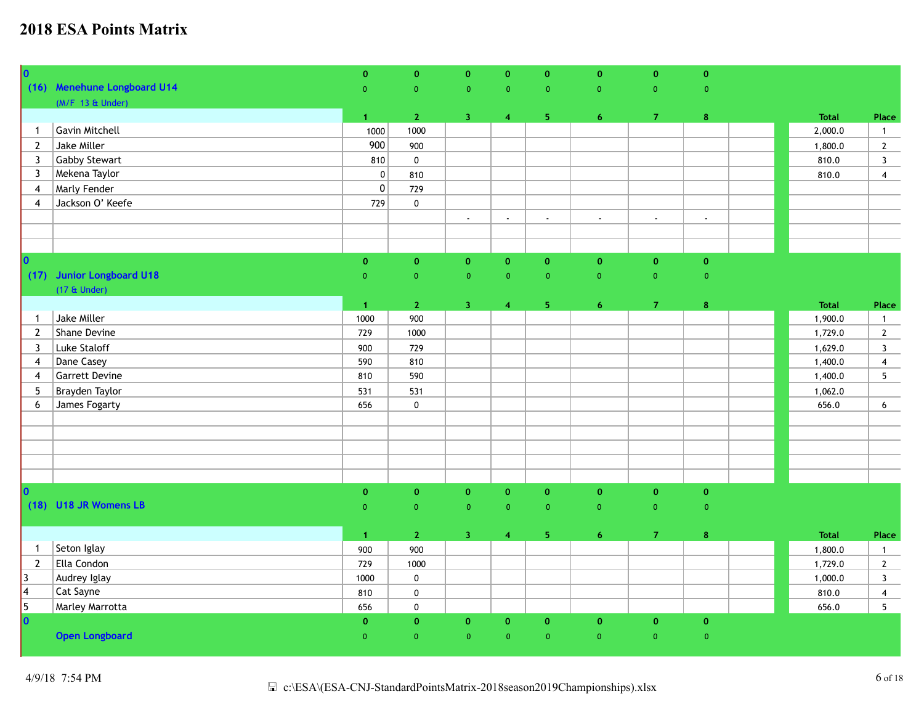| $\overline{\mathbf{0}}$ |                             | $\mathbf{0}$         | $\mathbf{0}$       | $\mathbf{O}$              | $\mathbf{O}$       | $\mathbf{0}$   | $\mathbf{0}$   | $\mathbf 0$    | $\mathbf 0$    |              |                 |
|-------------------------|-----------------------------|----------------------|--------------------|---------------------------|--------------------|----------------|----------------|----------------|----------------|--------------|-----------------|
|                         | (16) Menehune Longboard U14 | $\overline{0}$       | $\overline{0}$     | $\overline{0}$            | $\overline{0}$     | $\overline{0}$ | $\overline{0}$ | $\overline{0}$ | $\overline{0}$ |              |                 |
|                         | $(M/F 13 \& Under)$         |                      |                    |                           |                    |                |                |                |                |              |                 |
|                         |                             | 1 <sup>1</sup>       | $\mathbf{2}$       | $\overline{3}$            | $\overline{4}$     | 5 <sub>1</sub> | 6 <sup>1</sup> | $\mathbf{7}$   | $\bf 8$        | <b>Total</b> | Place           |
| $\mathbf{1}$            | Gavin Mitchell              | 1000                 | 1000               |                           |                    |                |                |                |                | 2,000.0      | $\overline{1}$  |
| $\overline{2}$          | Jake Miller                 | 900                  | 900                |                           |                    |                |                |                |                | 1,800.0      | $2^{\circ}$     |
| 3                       | <b>Gabby Stewart</b>        | 810                  | $\pmb{0}$          |                           |                    |                |                |                |                | 810.0        | $\mathbf{3}$    |
| 3                       | Mekena Taylor               | $\mathbf 0$          | 810                |                           |                    |                |                |                |                | 810.0        | $\overline{4}$  |
| 4                       | <b>Marly Fender</b>         | 0                    | 729                |                           |                    |                |                |                |                |              |                 |
| 4                       | Jackson O' Keefe            | 729                  | $\pmb{0}$          |                           |                    |                |                |                |                |              |                 |
|                         |                             |                      |                    | $\mathbb{Z}^{\mathbb{Z}}$ | $\mathbb{Z}^2$     | $\sim$         | $\mathbb{Z}$   | $\mathcal{L}$  | $\omega$       |              |                 |
|                         |                             |                      |                    |                           |                    |                |                |                |                |              |                 |
|                         |                             |                      |                    |                           |                    |                |                |                |                |              |                 |
| $ 0\rangle$             |                             | $\mathbf{O}$         | $\pmb{\mathsf{o}}$ | $\mathbf{0}$              | $\pmb{\mathsf{o}}$ | $\mathbf{0}$   | $\mathbf 0$    | $\mathbf{o}$   | $\mathbf 0$    |              |                 |
|                         | (17) Junior Longboard U18   | $\overline{0}$       | $\overline{0}$     | $\overline{0}$            | $\mathbf{0}$       | $\overline{0}$ | $\overline{0}$ | $\overline{0}$ | $\overline{0}$ |              |                 |
|                         | $(17 \& Under)$             |                      |                    |                           |                    |                |                |                |                |              |                 |
|                         |                             | $\blacktriangleleft$ | $\mathbf{2}$       | $\overline{3}$            | $\overline{4}$     | 5 <sub>1</sub> | $\overline{6}$ | $\overline{7}$ | $\bf8$         | <b>Total</b> | Place           |
| $\mathbf{1}$            | Jake Miller                 | 1000                 | 900                |                           |                    |                |                |                |                | 1,900.0      | $\overline{1}$  |
| $\overline{2}$          | Shane Devine                | 729                  | 1000               |                           |                    |                |                |                |                | 1,729.0      | $\mathbf{2}$    |
| $\mathbf{3}$            | Luke Staloff                | 900                  | 729                |                           |                    |                |                |                |                | 1,629.0      | $\mathbf{3}$    |
| 4                       | Dane Casey                  | 590                  | 810                |                           |                    |                |                |                |                | 1,400.0      | $\overline{4}$  |
| 4                       | <b>Garrett Devine</b>       | 810                  | 590                |                           |                    |                |                |                |                | 1,400.0      | $5\phantom{.0}$ |
| 5                       | Brayden Taylor              | 531                  | 531                |                           |                    |                |                |                |                | 1,062.0      |                 |
| 6                       | James Fogarty               | 656                  | $\pmb{0}$          |                           |                    |                |                |                |                | 656.0        | 6               |
|                         |                             |                      |                    |                           |                    |                |                |                |                |              |                 |
|                         |                             |                      |                    |                           |                    |                |                |                |                |              |                 |
|                         |                             |                      |                    |                           |                    |                |                |                |                |              |                 |
|                         |                             |                      |                    |                           |                    |                |                |                |                |              |                 |
|                         |                             |                      |                    |                           |                    |                |                |                |                |              |                 |
| $\overline{\mathbf{0}}$ |                             | $\pmb{0}$            | $\mathbf 0$        | $\mathbf{O}$              | $\mathbf{0}$       | $\mathbf{0}$   | $\mathbf{0}$   | $\mathbf{O}$   | $\mathbf 0$    |              |                 |
|                         | (18) U18 JR Womens LB       | $\overline{0}$       | $\overline{0}$     | $\overline{0}$            | $\overline{0}$     | $\overline{0}$ | $\overline{0}$ | $\overline{0}$ | $\overline{0}$ |              |                 |
|                         |                             |                      |                    |                           |                    |                |                |                |                |              |                 |
|                         |                             | $\blacktriangleleft$ | $\mathbf 2$        | $\overline{3}$            | $\overline{4}$     | 5 <sub>1</sub> | $\epsilon$     | $\mathbf{7}$   | $\bf8$         | <b>Total</b> | Place           |
| $\mathbf{1}$            | Seton Iglay                 | 900                  | 900                |                           |                    |                |                |                |                | 1,800.0      | $\overline{1}$  |
| $\overline{2}$          | Ella Condon                 | 729                  | 1000               |                           |                    |                |                |                |                | 1,729.0      | $\mathbf{2}$    |
| $ 3\rangle$             | Audrey Iglay                | 1000                 | $\pmb{0}$          |                           |                    |                |                |                |                | 1,000.0      | $\mathbf{3}$    |
| $\vert 4 \vert$         | Cat Sayne                   | 810                  | $\pmb{0}$          |                           |                    |                |                |                |                | 810.0        | $\overline{4}$  |
| $\overline{\mathbf{5}}$ | Marley Marrotta             | 656                  | $\pmb{0}$          |                           |                    |                |                |                |                | 656.0        | $5\overline{)}$ |
| $\overline{\mathbf{0}}$ |                             | $\mathbf{0}$         | $\mathbf 0$        | $\mathbf 0$               | $\mathbf 0$        | $\mathbf{0}$   | $\pmb{0}$      | $\mathbf 0$    | $\mathbf 0$    |              |                 |
|                         | <b>Open Longboard</b>       | $\overline{0}$       | $\overline{0}$     | $\overline{0}$            | $\overline{0}$     | $\overline{0}$ | $\overline{0}$ | $\overline{0}$ | $\mathbf 0$    |              |                 |
|                         |                             |                      |                    |                           |                    |                |                |                |                |              |                 |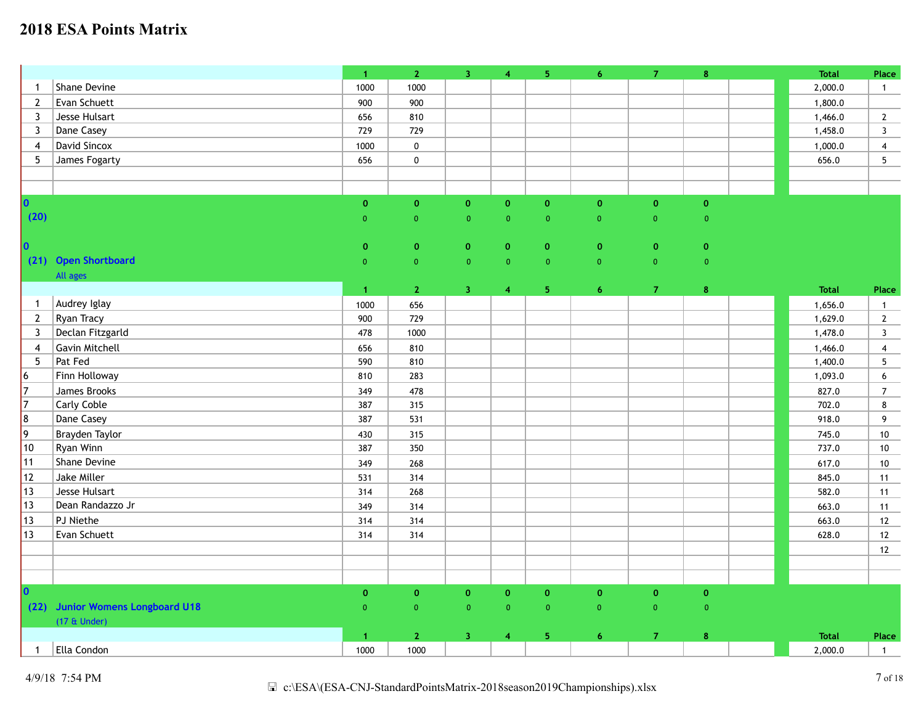|                     |                                  | $\mathbf{1}$         | $\overline{2}$     | 3 <sup>°</sup> | $\overline{\mathbf{4}}$ | 5 <sub>1</sub> | 6 <sup>1</sup> | $\mathbf{7}$   | $\bf8$         | <b>Total</b> | Place                   |
|---------------------|----------------------------------|----------------------|--------------------|----------------|-------------------------|----------------|----------------|----------------|----------------|--------------|-------------------------|
| $\mathbf{1}$        | Shane Devine                     | 1000                 | 1000               |                |                         |                |                |                |                | 2,000.0      | $\mathbf{1}$            |
| $\mathbf{2}$        | Evan Schuett                     | 900                  | 900                |                |                         |                |                |                |                | 1,800.0      |                         |
| 3                   | Jesse Hulsart                    | 656                  | 810                |                |                         |                |                |                |                | 1,466.0      | $\overline{2}$          |
| 3                   | Dane Casey                       | 729                  | 729                |                |                         |                |                |                |                | 1,458.0      | $\mathbf{3}$            |
| $\overline{4}$      | David Sincox                     | 1000                 | $\pmb{0}$          |                |                         |                |                |                |                | 1,000.0      | $\overline{4}$          |
| 5                   | James Fogarty                    | 656                  | $\pmb{0}$          |                |                         |                |                |                |                | 656.0        | $5\phantom{.0}$         |
|                     |                                  |                      |                    |                |                         |                |                |                |                |              |                         |
|                     |                                  |                      |                    |                |                         |                |                |                |                |              |                         |
| $\mathbf{0}$        |                                  | $\mathbf{0}$         | $\mathbf 0$        | $\mathbf{0}$   | $\mathbf{o}$            | $\mathbf{o}$   | $\mathbf{O}$   | $\mathbf{O}$   | $\mathbf{0}$   |              |                         |
| (20)                |                                  | $\overline{0}$       | $\overline{0}$     | $\overline{0}$ | $\overline{0}$          | $\overline{0}$ | $\overline{0}$ | $\overline{0}$ | $\overline{0}$ |              |                         |
|                     |                                  |                      |                    |                |                         |                |                |                |                |              |                         |
| $\bullet$           |                                  | $\mathbf{0}$         | $\mathbf 0$        | $\mathbf{0}$   | $\mathbf{O}$            | $\mathbf{0}$   | $\mathbf{0}$   | $\mathbf{0}$   | $\mathbf{0}$   |              |                         |
|                     | (21) Open Shortboard             | $\overline{0}$       | $\mathbf 0$        | $\overline{0}$ | $\overline{0}$          | $\overline{0}$ | $\overline{0}$ | $\overline{0}$ | $\mathbf 0$    |              |                         |
|                     | All ages                         |                      |                    |                |                         |                |                |                |                |              |                         |
|                     |                                  | $\blacktriangleleft$ | $\mathbf{2}$       | $\mathbf{3}$   | $\overline{\mathbf{4}}$ | 5 <sub>1</sub> | $\overline{6}$ | $\overline{7}$ | $\bf{8}$       | <b>Total</b> | Place                   |
| $\overline{1}$      | Audrey Iglay                     | 1000                 | 656                |                |                         |                |                |                |                | 1,656.0      | $\mathbf{1}$            |
| $2^{\circ}$         | Ryan Tracy                       | 900                  | 729                |                |                         |                |                |                |                | 1,629.0      | $\overline{2}$          |
| 3                   | Declan Fitzgarld                 | 478                  | 1000               |                |                         |                |                |                |                | 1,478.0      | $\overline{\mathbf{3}}$ |
| $\overline{4}$      | <b>Gavin Mitchell</b>            | 656                  | 810                |                |                         |                |                |                |                | 1,466.0      | $\overline{4}$          |
| 5                   | Pat Fed                          | 590                  | 810                |                |                         |                |                |                |                | 1,400.0      | 5                       |
| $6 \nightharpoonup$ | Finn Holloway                    | 810                  | 283                |                |                         |                |                |                |                | 1,093.0      | 6                       |
| $\overline{7}$      | James Brooks                     | 349                  | 478                |                |                         |                |                |                |                | 827.0        | $\overline{7}$          |
| 7                   | <b>Carly Coble</b>               | 387                  | 315                |                |                         |                |                |                |                | 702.0        | 8                       |
| 8                   | Dane Casey                       | 387                  | 531                |                |                         |                |                |                |                | 918.0        | 9                       |
| $ 9\rangle$         | Brayden Taylor                   | 430                  | 315                |                |                         |                |                |                |                | 745.0        | 10                      |
| $ 10\rangle$        | Ryan Winn                        | 387                  | 350                |                |                         |                |                |                |                | 737.0        | $10\,$                  |
| 11                  | Shane Devine                     | 349                  | 268                |                |                         |                |                |                |                | 617.0        | 10                      |
| 12                  | Jake Miller                      | 531                  | 314                |                |                         |                |                |                |                | 845.0        | 11                      |
| $ 13\rangle$        | Jesse Hulsart                    | 314                  | 268                |                |                         |                |                |                |                | 582.0        | 11                      |
| $ 13\rangle$        | Dean Randazzo Jr                 | 349                  | 314                |                |                         |                |                |                |                | 663.0        | 11                      |
| $ 13\rangle$        | PJ Niethe                        | 314                  | 314                |                |                         |                |                |                |                | 663.0        | $12$                    |
| $ 13\rangle$        | Evan Schuett                     | 314                  | 314                |                |                         |                |                |                |                | 628.0        | $12$                    |
|                     |                                  |                      |                    |                |                         |                |                |                |                |              | $12$                    |
|                     |                                  |                      |                    |                |                         |                |                |                |                |              |                         |
|                     |                                  |                      |                    |                |                         |                |                |                |                |              |                         |
| O.                  |                                  | $\pmb{\mathsf{O}}$   | $\pmb{\mathsf{o}}$ | $\mathbf{o}$   | $\mathbf 0$             | $\pmb{0}$      | $\mathbf{0}$   | $\mathbf{O}$   | $\mathbf 0$    |              |                         |
|                     | (22) Junior Womens Longboard U18 | $\overline{0}$       | $\overline{0}$     | $\overline{0}$ | $\overline{0}$          | $\overline{0}$ | $\mathbf{0}$   | $\overline{0}$ | $\overline{0}$ |              |                         |
|                     | $(17 \&$ Under)                  |                      |                    |                |                         |                |                |                |                |              |                         |
|                     |                                  | $\blacktriangleleft$ | $\mathbf{2}$       | $\overline{3}$ | $\overline{4}$          | 5              | 6 <sup>1</sup> | $\overline{7}$ | $\bf8$         | <b>Total</b> | Place                   |
| $\mathbf{1}$        | Ella Condon                      | 1000                 | 1000               |                |                         |                |                |                |                | 2,000.0      | $\overline{1}$          |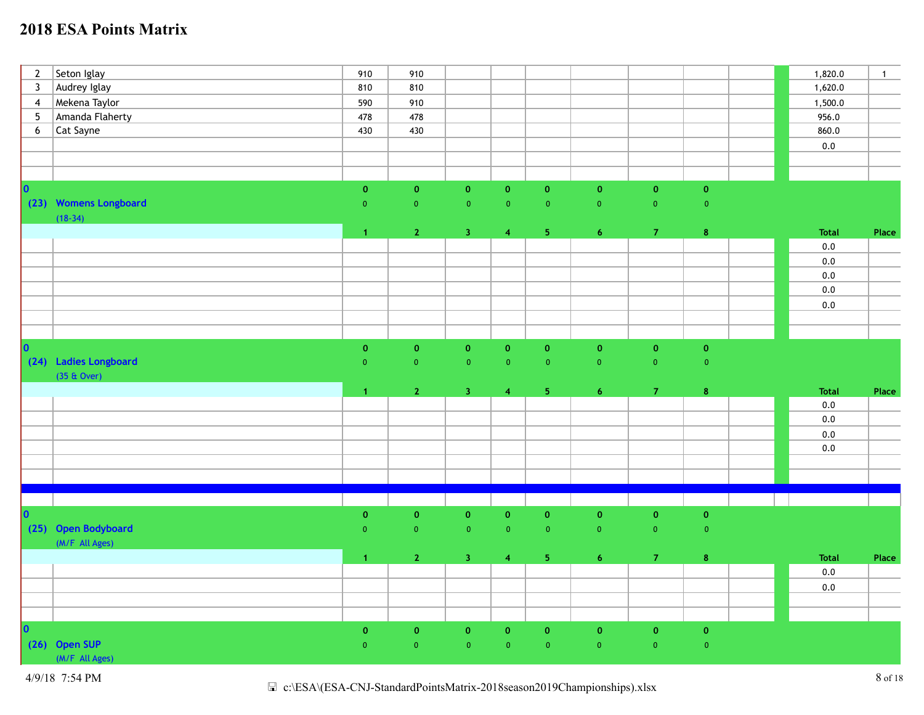| $\overline{2}$  | Seton Iglay           | 910                  | 910            |                         |                         |                |                    |                    |                   | 1,820.0      | $\overline{1}$ |
|-----------------|-----------------------|----------------------|----------------|-------------------------|-------------------------|----------------|--------------------|--------------------|-------------------|--------------|----------------|
| $\overline{3}$  | Audrey Iglay          | 810                  | 810            |                         |                         |                |                    |                    |                   | 1,620.0      |                |
| $\overline{4}$  | Mekena Taylor         | 590                  | 910            |                         |                         |                |                    |                    |                   | 1,500.0      |                |
| $5\phantom{.0}$ | Amanda Flaherty       | 478                  | 478            |                         |                         |                |                    |                    |                   | 956.0        |                |
| $6\phantom{.}6$ | Cat Sayne             | 430                  | 430            |                         |                         |                |                    |                    |                   | 860.0        |                |
|                 |                       |                      |                |                         |                         |                |                    |                    |                   | $0.0\,$      |                |
|                 |                       |                      |                |                         |                         |                |                    |                    |                   |              |                |
|                 |                       |                      |                |                         |                         |                |                    |                    |                   |              |                |
| lo.             |                       | $\pmb{0}$            | $\mathbf 0$    | $\mathbf{0}$            | $\mathbf 0$             | $\mathbf 0$    | $\pmb{\mathsf{o}}$ | $\mathbf{O}$       | $\pmb{0}$         |              |                |
|                 | (23) Womens Longboard | $\overline{0}$       | $\overline{0}$ | $\mathbf{0}$            | $\overline{0}$          | $\overline{0}$ | $\bullet$          | $\pmb{0}$          | $\mathbf{0}$      |              |                |
|                 | $(18-34)$             |                      |                |                         |                         |                |                    |                    |                   |              |                |
|                 |                       | $\blacktriangleleft$ | 2 <sup>7</sup> | 3 <sub>1</sub>          | $\overline{4}$          | 5 <sub>1</sub> | $\overline{6}$     | $\mathbf{7}$       | $\bar{\bf 8}$     | Total        | Place          |
|                 |                       |                      |                |                         |                         |                |                    |                    |                   | 0.0          |                |
|                 |                       |                      |                |                         |                         |                |                    |                    |                   | $0.0\,$      |                |
|                 |                       |                      |                |                         |                         |                |                    |                    |                   | $0.0\,$      |                |
|                 |                       |                      |                |                         |                         |                |                    |                    |                   | $0.0\,$      |                |
|                 |                       |                      |                |                         |                         |                |                    |                    |                   | $0.0\,$      |                |
|                 |                       |                      |                |                         |                         |                |                    |                    |                   |              |                |
|                 |                       |                      |                |                         |                         |                |                    |                    |                   |              |                |
| $ 0\rangle$     |                       | $\pmb{0}$            | $\pmb{0}$      | $\mathbf 0$             | $\mathbf 0$             | $\pmb{0}$      | $\pmb{\mathsf{o}}$ | $\mathbf{0}$       | $\mathbf 0$       |              |                |
|                 | (24) Ladies Longboard | $\overline{0}$       | $\overline{0}$ | $\overline{\mathbf{0}}$ | $\overline{0}$          | $\overline{0}$ | $\mathbf 0$        | $\mathbf{0}$       | $\overline{0}$    |              |                |
|                 | $(35 \& Qver)$        |                      |                |                         |                         |                |                    |                    |                   |              |                |
|                 |                       |                      |                |                         |                         | 5 <sub>1</sub> | $\overline{6}$     | 7 <sup>°</sup>     |                   | <b>Total</b> |                |
|                 |                       | $\blacktriangleleft$ | $\mathbf{2}$   | 3 <sup>°</sup>          | $\overline{4}$          |                |                    |                    | $\pmb{8}$         | $0.0\,$      | Place          |
|                 |                       |                      |                |                         |                         |                |                    |                    |                   | $0.0\,$      |                |
|                 |                       |                      |                |                         |                         |                |                    |                    |                   | 0.0          |                |
|                 |                       |                      |                |                         |                         |                |                    |                    |                   |              |                |
|                 |                       |                      |                |                         |                         |                |                    |                    |                   | $0.0\,$      |                |
|                 |                       |                      |                |                         |                         |                |                    |                    |                   |              |                |
|                 |                       |                      |                |                         |                         |                |                    |                    |                   |              |                |
|                 |                       |                      |                |                         |                         |                |                    |                    |                   |              |                |
| lo.             |                       | $\mathbf 0$          | $\pmb{0}$      | $\mathbf 0$             | $\pmb{0}$               | $\pmb{0}$      | $\pmb{0}$          | $\pmb{\mathsf{o}}$ | $\pmb{0}$         |              |                |
|                 | (25) Open Bodyboard   | $\overline{0}$       | $\pmb{0}$      | $\mathbf{0}$            | $\pmb{0}$               | $\bullet$      | $\pmb{0}$          | $\pmb{0}$          | $\mathbf{0}$      |              |                |
|                 | (M/F All Ages)        |                      |                |                         |                         |                |                    |                    |                   |              |                |
|                 |                       | $\blacktriangleleft$ | $\overline{2}$ | 3 <sup>°</sup>          | $\overline{\mathbf{4}}$ | 5 <sup>7</sup> | $\overline{6}$     | $\mathbf{7}$       | $\pmb{8}$         | <b>Total</b> | Place          |
|                 |                       |                      |                |                         |                         |                |                    |                    |                   | 0.0          |                |
|                 |                       |                      |                |                         |                         |                |                    |                    |                   | $0.0\,$      |                |
|                 |                       |                      |                |                         |                         |                |                    |                    |                   |              |                |
|                 |                       |                      |                |                         |                         |                |                    |                    |                   |              |                |
| <b>O</b>        |                       | $\pmb{0}$            | $\mathbf 0$    | $\mathbf{0}$            | $\mathbf 0$             | $\mathbf 0$    | $\pmb{0}$          | $\pmb{0}$          | $\pmb{0}$         |              |                |
|                 | (26) Open SUP         | $\mathbf{0}$         | $\overline{0}$ | $\mathbf{0}$            | $\overline{0}$          | $\mathbf{0}$   | $\mathbf 0$        | $\mathbf{0}$       | $\mathbf{0}^\top$ |              |                |
|                 | (M/F All Ages)        |                      |                |                         |                         |                |                    |                    |                   |              |                |
|                 |                       |                      |                |                         |                         |                |                    |                    |                   |              |                |

4/9/18 7:54 PM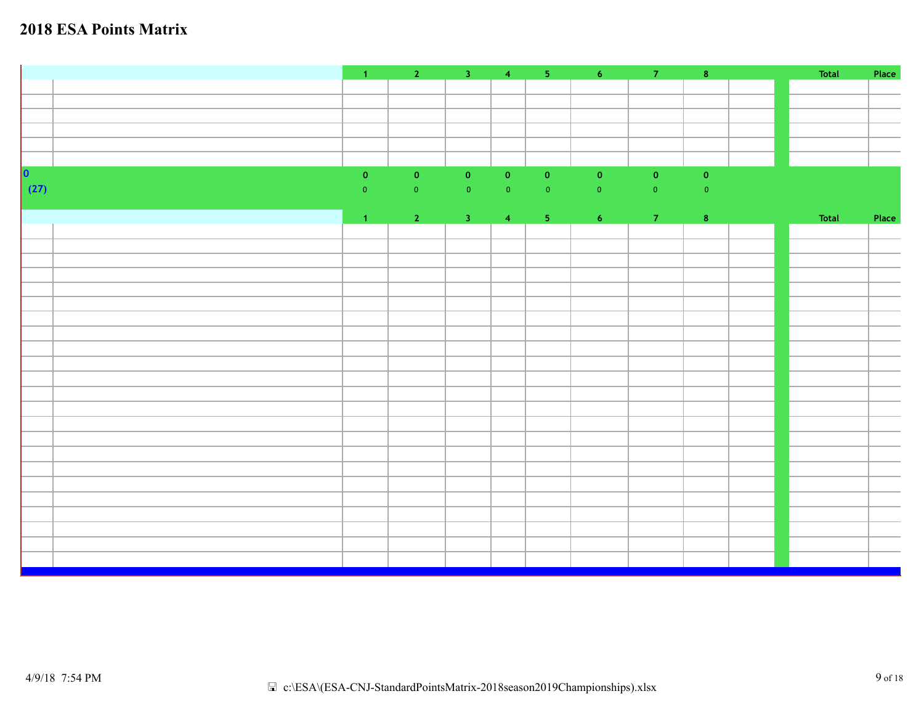|             |                |                                                                    |           |            |                            |                     |                     | $\vert 8 \vert$ | Total | Place |
|-------------|----------------|--------------------------------------------------------------------|-----------|------------|----------------------------|---------------------|---------------------|-----------------|-------|-------|
|             |                |                                                                    |           |            |                            |                     |                     |                 |       |       |
|             |                |                                                                    |           |            |                            |                     |                     |                 |       |       |
|             |                |                                                                    |           |            |                            |                     |                     |                 |       |       |
|             |                |                                                                    |           |            |                            |                     |                     |                 |       |       |
|             |                |                                                                    |           |            |                            |                     |                     |                 |       |       |
| $ 0\rangle$ | $\mathbf{0}^-$ | $\vert 0 \rangle$                                                  | $\bullet$ | $\bullet$  | $\overline{\phantom{a}}$ 0 | $\mathbf{0}^{\top}$ | $\mathbf{0}^{\top}$ | $\mathbf{0}^-$  |       |       |
| (27)        | $\overline{0}$ | $\bullet$                                                          | $\bullet$ | $\bullet$  | $\overline{\mathbf{0}}$    | $\bullet$           | $\mathbf{0}^{\top}$ | $\bullet$       |       |       |
|             |                |                                                                    |           |            |                            |                     |                     |                 |       |       |
|             | $\mathbf{1}$   | $\begin{array}{ c c c c c }\n\hline\n2 & 3 \\ \hline\n\end{array}$ |           | $\sqrt{4}$ | $\sim$ 5                   | 6 <sup>1</sup>      | $\overline{7}$      | $\vert 8 \vert$ | Total | Place |
|             |                |                                                                    |           |            |                            |                     |                     |                 |       |       |
|             |                |                                                                    |           |            |                            |                     |                     |                 |       |       |
|             |                |                                                                    |           |            |                            |                     |                     |                 |       |       |
|             |                |                                                                    |           |            |                            |                     |                     |                 |       |       |
|             |                |                                                                    |           |            |                            |                     |                     |                 |       |       |
|             |                |                                                                    |           |            |                            |                     |                     |                 |       |       |
|             |                |                                                                    |           |            |                            |                     |                     |                 |       |       |
|             |                |                                                                    |           |            |                            |                     |                     |                 |       |       |
|             |                |                                                                    |           |            |                            |                     |                     |                 |       |       |
|             |                |                                                                    |           |            |                            |                     |                     |                 |       |       |
|             |                |                                                                    |           |            |                            |                     |                     |                 |       |       |
|             |                |                                                                    |           |            |                            |                     |                     |                 |       |       |
|             |                |                                                                    |           |            |                            |                     |                     |                 |       |       |
|             |                |                                                                    |           |            |                            |                     |                     |                 |       |       |
|             |                |                                                                    |           |            |                            |                     |                     |                 |       |       |
|             |                |                                                                    |           |            |                            |                     |                     |                 |       |       |
|             |                |                                                                    |           |            |                            |                     |                     |                 |       |       |
|             |                |                                                                    |           |            |                            |                     |                     |                 |       |       |
|             |                |                                                                    |           |            |                            |                     |                     |                 |       |       |
|             |                |                                                                    |           |            |                            |                     |                     |                 |       |       |
|             |                |                                                                    |           |            |                            |                     |                     |                 |       |       |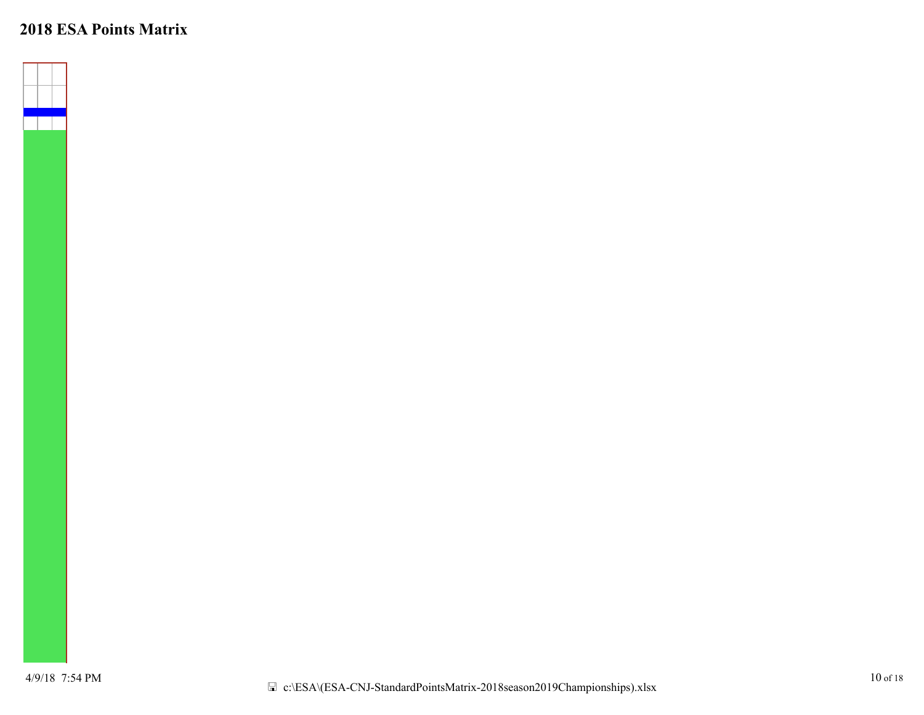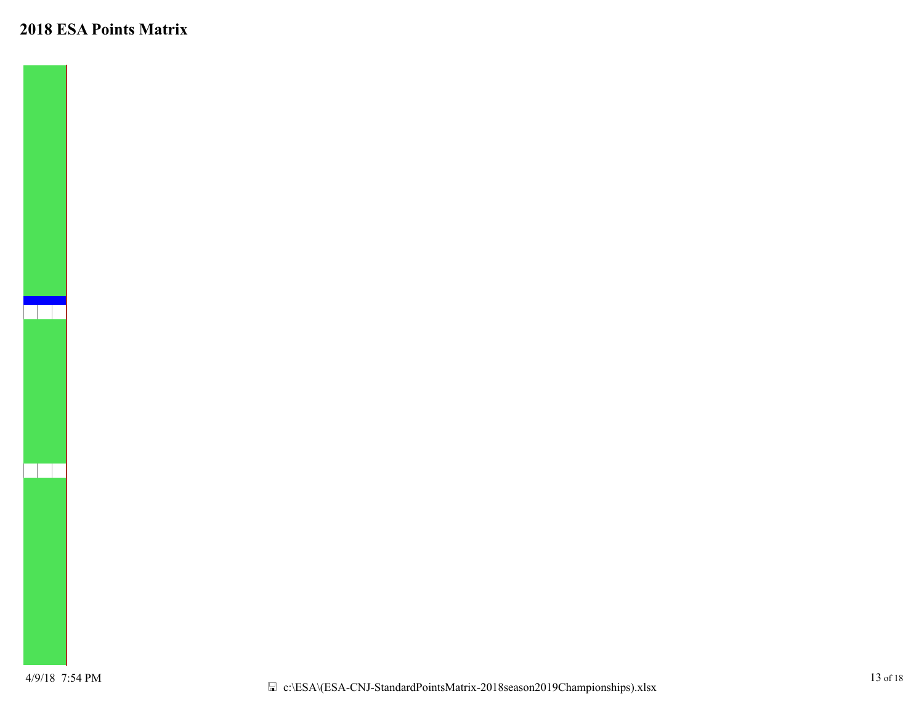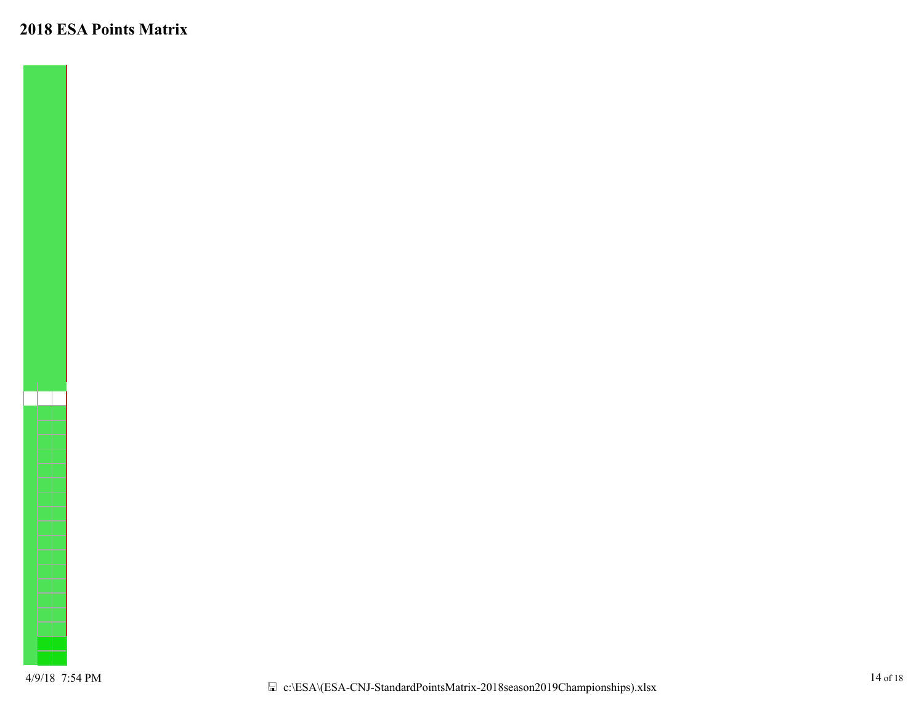